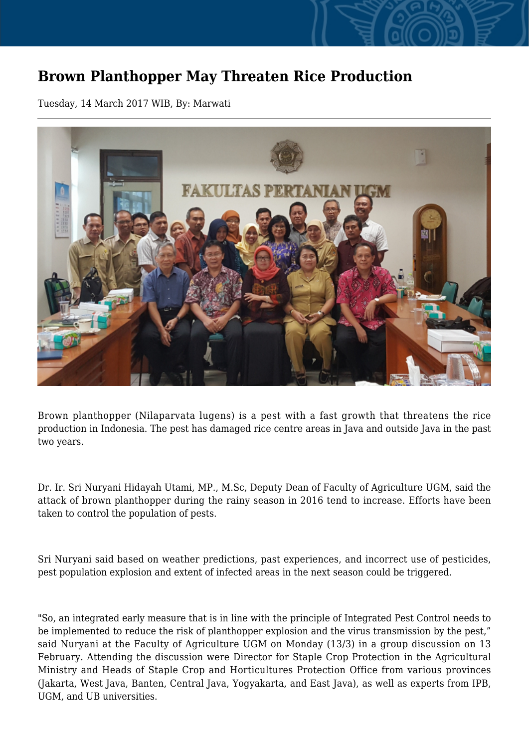## **Brown Planthopper May Threaten Rice Production**

Tuesday, 14 March 2017 WIB, By: Marwati



Brown planthopper (Nilaparvata lugens) is a pest with a fast growth that threatens the rice production in Indonesia. The pest has damaged rice centre areas in Java and outside Java in the past two years.

Dr. Ir. Sri Nuryani Hidayah Utami, MP., M.Sc, Deputy Dean of Faculty of Agriculture UGM, said the attack of brown planthopper during the rainy season in 2016 tend to increase. Efforts have been taken to control the population of pests.

Sri Nuryani said based on weather predictions, past experiences, and incorrect use of pesticides, pest population explosion and extent of infected areas in the next season could be triggered.

"So, an integrated early measure that is in line with the principle of Integrated Pest Control needs to be implemented to reduce the risk of planthopper explosion and the virus transmission by the pest," said Nuryani at the Faculty of Agriculture UGM on Monday (13/3) in a group discussion on 13 February. Attending the discussion were Director for Staple Crop Protection in the Agricultural Ministry and Heads of Staple Crop and Horticultures Protection Office from various provinces (Jakarta, West Java, Banten, Central Java, Yogyakarta, and East Java), as well as experts from IPB, UGM, and UB universities.